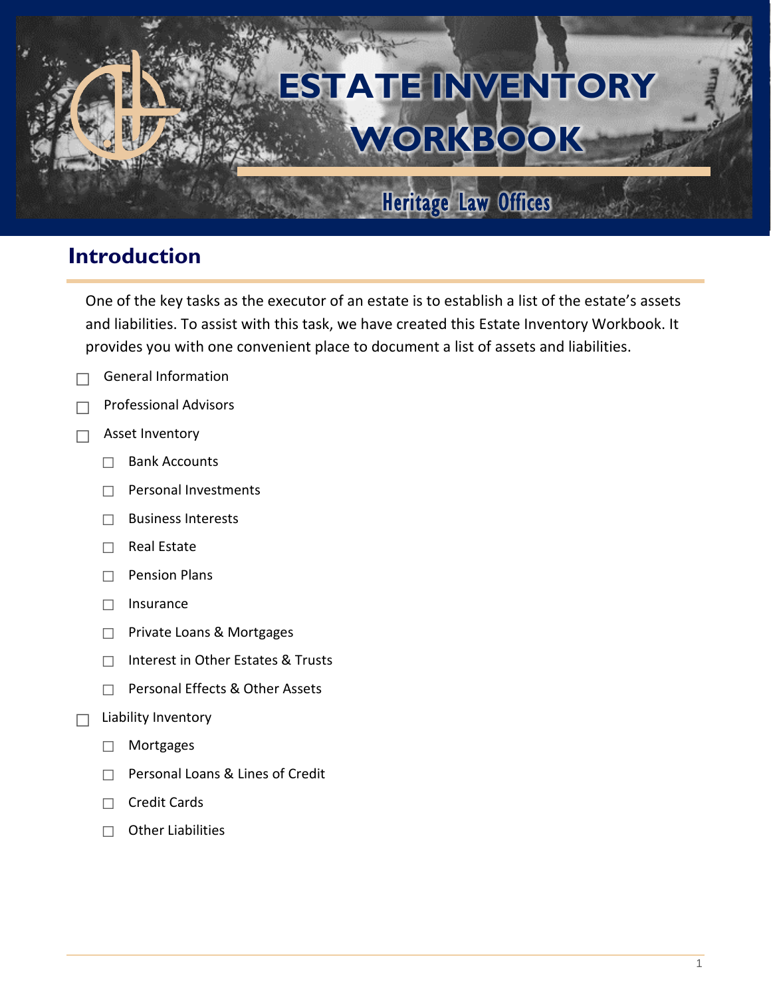# **ESTATE INVENTORY WORKBOOK**

## Heritage Law Offices

## **Introduction**

One of the key tasks as the executor of an estate is to establish a list of the estate's assets and liabilities. To assist with this task, we have created this Estate Inventory Workbook. It provides you with one convenient place to document a list of assets and liabilities.

- $\Box$  General Information
- ☐ Professional Advisors
- $\Box$  Asset Inventory
	- ☐ Bank Accounts
	- ☐ Personal Investments
	- ☐ Business Interests
	- ☐ Real Estate
	- ☐ Pension Plans
	- ☐ Insurance
	- ☐ Private Loans & Mortgages
	- ☐ Interest in Other Estates & Trusts
	- ☐ Personal Effects & Other Assets

#### $\Box$  Liability Inventory

- ☐ Mortgages
- ☐ Personal Loans & Lines of Credit
- ☐ Credit Cards
- ☐ Other Liabilities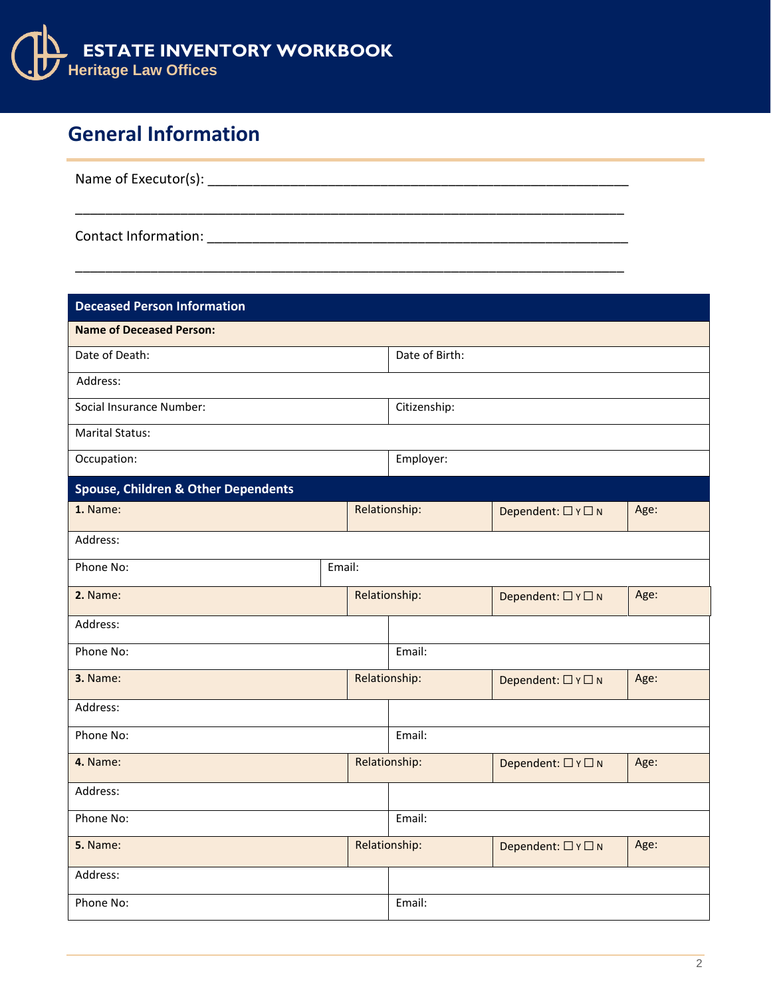

## **General Information**

| Name of Executor(s): |  |  |  |
|----------------------|--|--|--|
|                      |  |  |  |
|                      |  |  |  |

\_\_\_\_\_\_\_\_\_\_\_\_\_\_\_\_\_\_\_\_\_\_\_\_\_\_\_\_\_\_\_\_\_\_\_\_\_\_\_\_\_\_\_\_\_\_\_\_\_\_\_\_\_\_\_\_\_\_\_\_\_\_\_\_\_\_\_\_\_\_\_\_\_

Contact Information: \_\_\_\_\_\_\_\_\_\_\_\_\_\_\_\_\_\_\_\_\_\_\_\_\_\_\_\_\_\_\_\_\_\_\_\_\_\_\_\_\_\_\_\_\_\_\_\_\_\_\_\_\_\_\_\_

| <b>Deceased Person Information</b>             |               |                |                    |                    |      |
|------------------------------------------------|---------------|----------------|--------------------|--------------------|------|
| <b>Name of Deceased Person:</b>                |               |                |                    |                    |      |
| Date of Death:                                 |               | Date of Birth: |                    |                    |      |
| Address:                                       |               |                |                    |                    |      |
| Social Insurance Number:                       |               |                | Citizenship:       |                    |      |
| <b>Marital Status:</b>                         |               |                |                    |                    |      |
| Occupation:                                    |               |                | Employer:          |                    |      |
| <b>Spouse, Children &amp; Other Dependents</b> |               |                |                    |                    |      |
| 1. Name:                                       | Relationship: |                |                    | Dependent: □ Y □ N | Age: |
| Address:                                       |               |                |                    |                    |      |
| Phone No:                                      | Email:        |                |                    |                    |      |
| 2. Name:                                       |               |                | Relationship:      | Dependent: □ Y □ N | Age: |
| Address:                                       |               |                |                    |                    |      |
| Phone No:                                      |               |                | Email:             |                    |      |
| 3. Name:                                       |               |                | Relationship:      | Dependent: □ Y □ N | Age: |
| Address:                                       |               |                |                    |                    |      |
| Phone No:                                      |               |                | Email:             |                    |      |
| 4. Name:                                       | Relationship: |                |                    | Dependent: □ Y □ N | Age: |
| Address:                                       |               |                |                    |                    |      |
| Phone No:                                      |               | Email:         |                    |                    |      |
| Relationship:<br><b>5.</b> Name:               |               |                | Dependent: □ Y □ N | Age:               |      |
| Address:                                       |               |                |                    |                    |      |
| Phone No:                                      |               |                | Email:             |                    |      |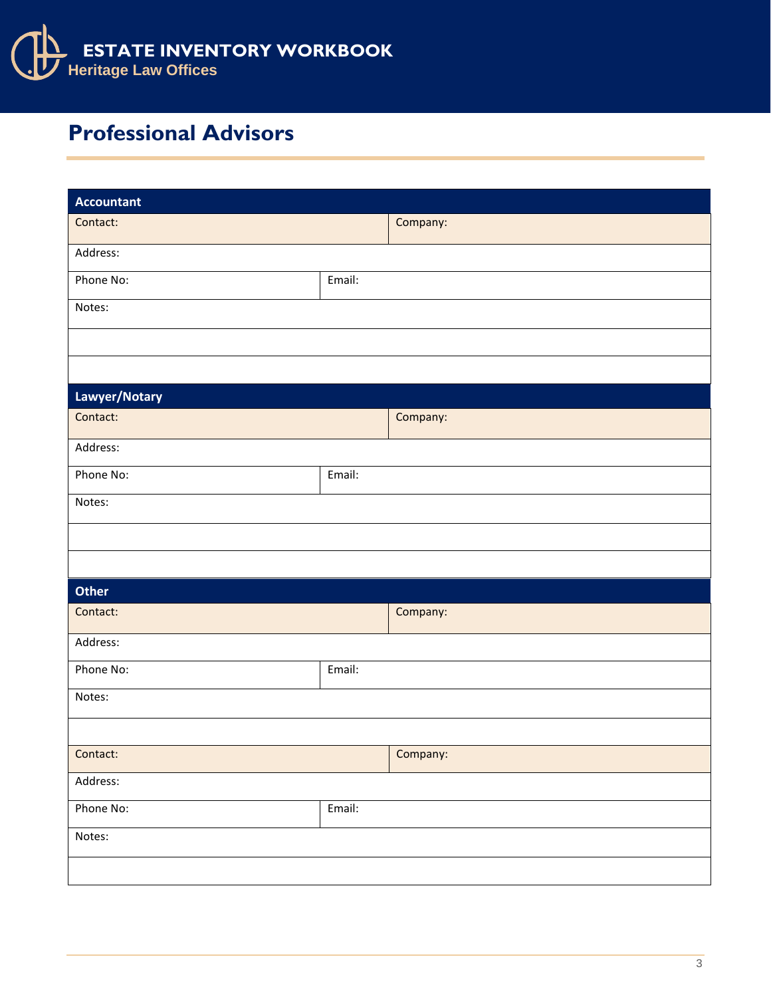

## **Professional Advisors**

| <b>Accountant</b> |        |          |
|-------------------|--------|----------|
| Contact:          |        | Company: |
| Address:          |        |          |
| Phone No:         | Email: |          |
| Notes:            |        |          |
|                   |        |          |
|                   |        |          |
| Lawyer/Notary     |        |          |
| Contact:          |        | Company: |
| Address:          |        |          |
| Phone No:         | Email: |          |
| Notes:            |        |          |
|                   |        |          |
|                   |        |          |
| Other             |        |          |
| Contact:          |        | Company: |
| Address:          |        |          |
| Phone No:         | Email: |          |
| Notes:            |        |          |
|                   |        |          |
| Contact:          |        | Company: |
| Address:          |        |          |
| Phone No:         | Email: |          |
| Notes:            |        |          |
|                   |        |          |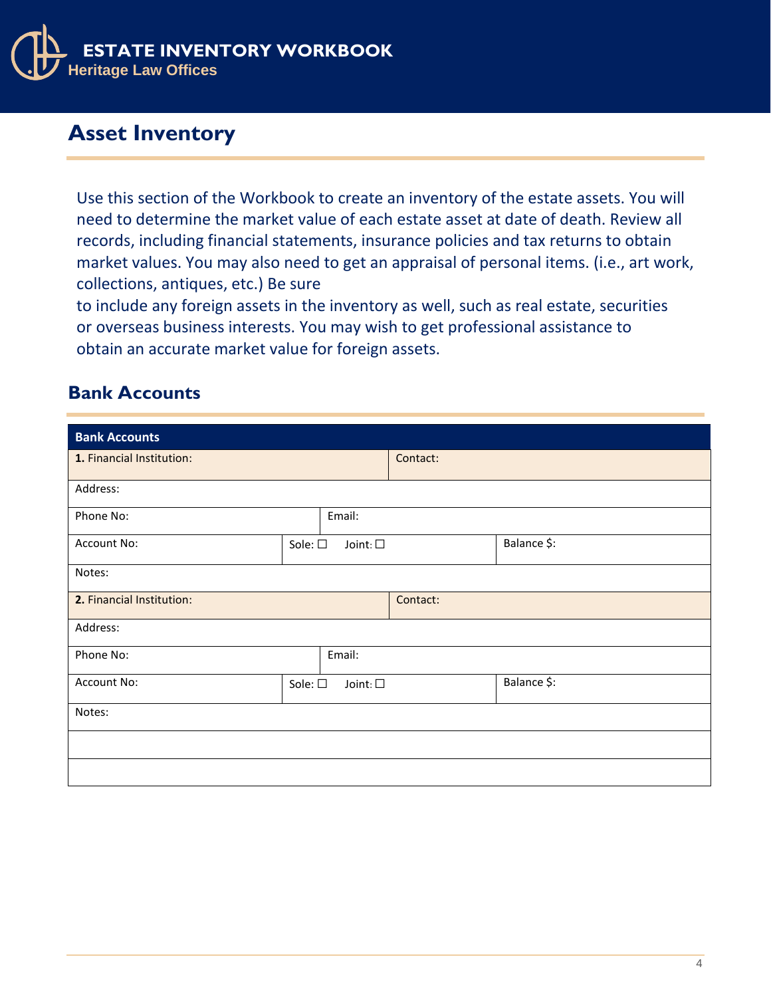

## **Asset Inventory**

Use this section of the Workbook to create an inventory of the estate assets. You will need to determine the market value of each estate asset at date of death. Review all records, including financial statements, insurance policies and tax returns to obtain market values. You may also need to get an appraisal of personal items. (i.e., art work, collections, antiques, etc.) Be sure

to include any foreign assets in the inventory as well, such as real estate, securities or overseas business interests. You may wish to get professional assistance to obtain an accurate market value for foreign assets.

#### **Bank Accounts**

| <b>Bank Accounts</b>      |                                     |          |             |
|---------------------------|-------------------------------------|----------|-------------|
| 1. Financial Institution: |                                     | Contact: |             |
| Address:                  |                                     |          |             |
| Phone No:                 | Email:                              |          |             |
| Account No:               | Sole: $\square$<br>Joint: $\square$ |          | Balance \$: |
| Notes:                    |                                     |          |             |
| 2. Financial Institution: |                                     | Contact: |             |
| Address:                  |                                     |          |             |
| Phone No:                 | Email:                              |          |             |
| Account No:               | Sole: $\square$<br>Joint: $\square$ |          | Balance \$: |
| Notes:                    |                                     |          |             |
|                           |                                     |          |             |
|                           |                                     |          |             |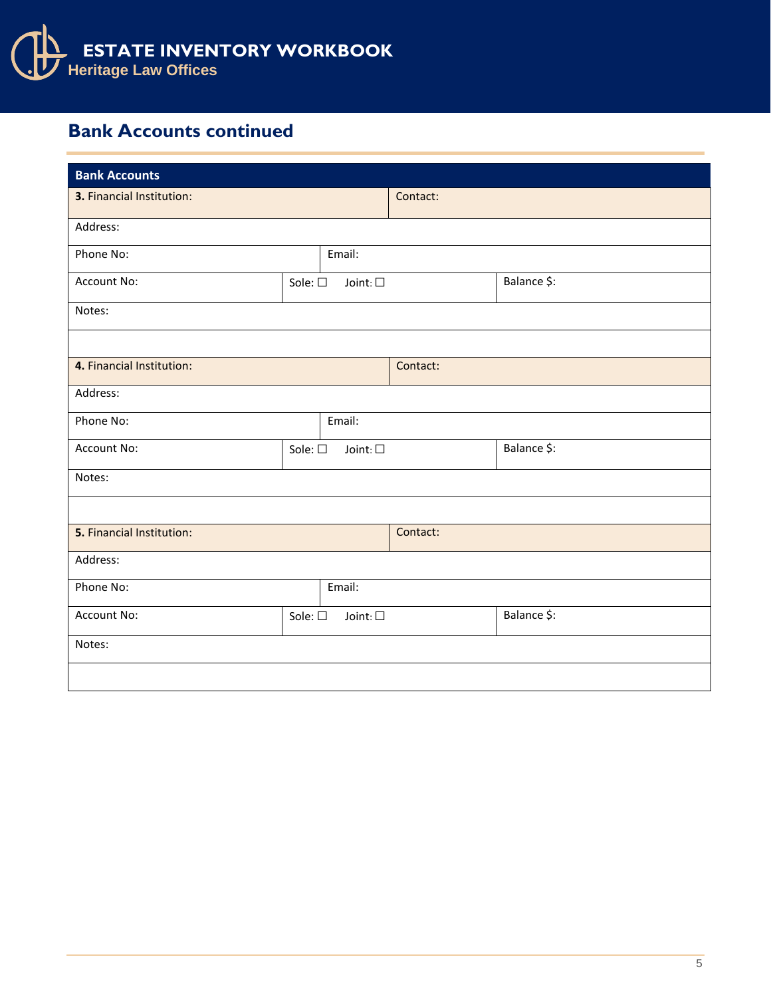

#### **Bank Accounts continued**

| <b>Bank Accounts</b> |                  |                                                       |             |
|----------------------|------------------|-------------------------------------------------------|-------------|
|                      |                  | Contact:                                              |             |
|                      |                  |                                                       |             |
|                      | Email:           |                                                       |             |
|                      | Joint: $\square$ |                                                       | Balance \$: |
|                      |                  |                                                       |             |
|                      |                  |                                                       |             |
|                      |                  | Contact:                                              |             |
|                      |                  |                                                       |             |
|                      | Email:           |                                                       |             |
|                      | Joint: $\square$ |                                                       | Balance \$: |
|                      |                  |                                                       |             |
|                      |                  |                                                       |             |
|                      |                  | Contact:                                              |             |
|                      |                  |                                                       |             |
| Phone No:<br>Email:  |                  |                                                       |             |
|                      | Joint: $\square$ |                                                       | Balance \$: |
|                      |                  |                                                       |             |
|                      |                  |                                                       |             |
|                      |                  | Sole: $\square$<br>Sole: $\square$<br>Sole: $\square$ |             |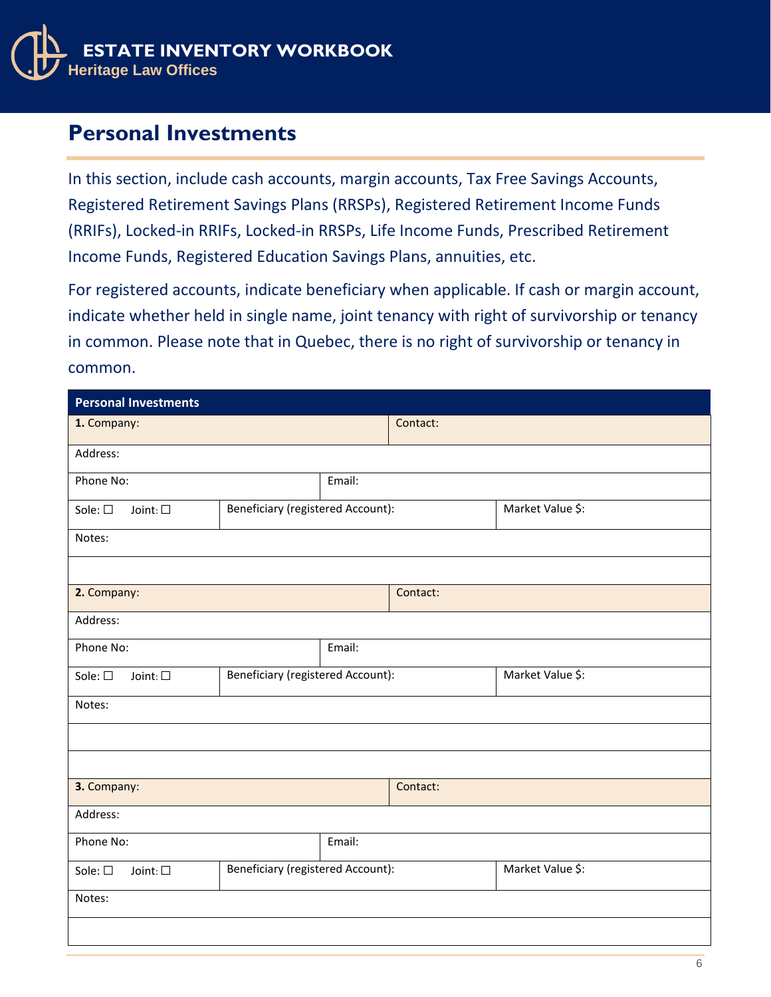

#### **Personal Investments**

In this section, include cash accounts, margin accounts, Tax Free Savings Accounts, Registered Retirement Savings Plans (RRSPs), Registered Retirement Income Funds (RRIFs), Locked-in RRIFs, Locked-in RRSPs, Life Income Funds, Prescribed Retirement Income Funds, Registered Education Savings Plans, annuities, etc.

For registered accounts, indicate beneficiary when applicable. If cash or margin account, indicate whether held in single name, joint tenancy with right of survivorship or tenancy in common. Please note that in Quebec, there is no right of survivorship or tenancy in common.

| <b>Personal Investments</b>         |                                                              |                                                       |          |                  |
|-------------------------------------|--------------------------------------------------------------|-------------------------------------------------------|----------|------------------|
| 1. Company:                         |                                                              |                                                       | Contact: |                  |
| Address:                            |                                                              |                                                       |          |                  |
| Phone No:                           |                                                              | Email:                                                |          |                  |
| Sole: $\square$<br>Joint: $\square$ |                                                              | Beneficiary (registered Account):<br>Market Value \$: |          |                  |
| Notes:                              |                                                              |                                                       |          |                  |
|                                     |                                                              |                                                       |          |                  |
| 2. Company:                         |                                                              |                                                       | Contact: |                  |
| Address:                            |                                                              |                                                       |          |                  |
| Phone No:                           |                                                              | Email:                                                |          |                  |
| Sole: □<br>Joint: $\square$         | <b>Beneficiary (registered Account):</b>                     |                                                       |          | Market Value \$: |
| Notes:                              |                                                              |                                                       |          |                  |
|                                     |                                                              |                                                       |          |                  |
|                                     |                                                              |                                                       |          |                  |
| 3. Company:                         |                                                              |                                                       | Contact: |                  |
| Address:                            |                                                              |                                                       |          |                  |
| Phone No:                           |                                                              | Email:                                                |          |                  |
| Sole: $\square$<br>Joint: $\square$ | <b>Beneficiary (registered Account):</b><br>Market Value \$: |                                                       |          |                  |
| Notes:                              |                                                              |                                                       |          |                  |
|                                     |                                                              |                                                       |          |                  |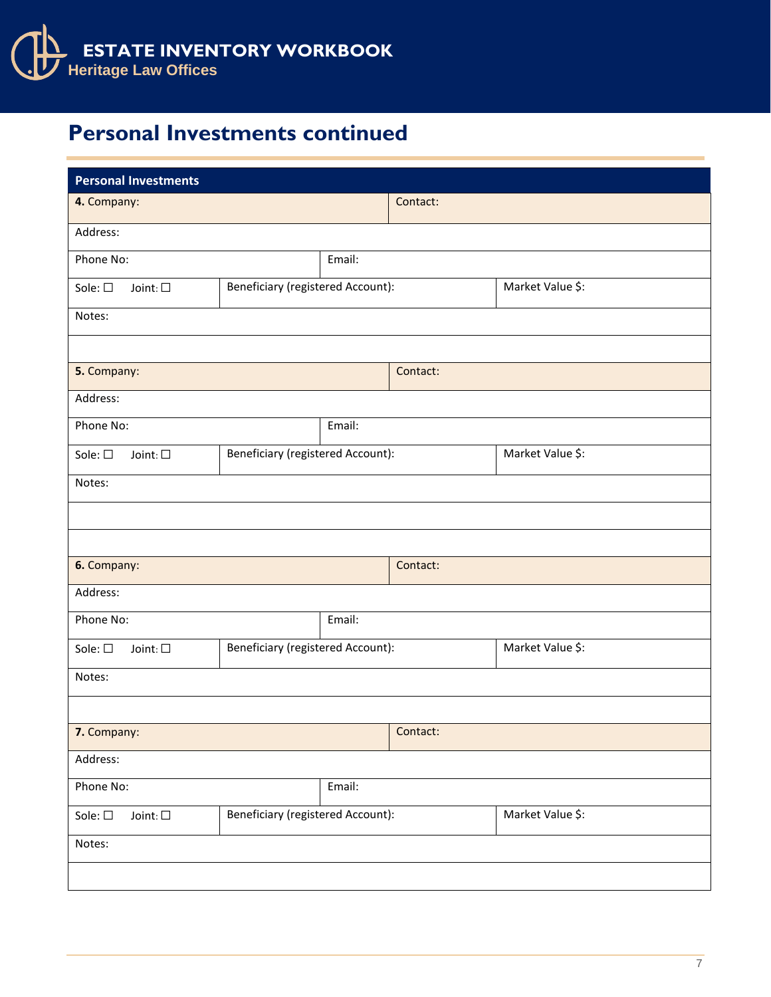

## **Personal Investments continued**

| <b>Personal Investments</b>         |                                                       |          |          |                  |
|-------------------------------------|-------------------------------------------------------|----------|----------|------------------|
| 4. Company:                         |                                                       |          | Contact: |                  |
| Address:                            |                                                       |          |          |                  |
| Phone No:                           |                                                       | Email:   |          |                  |
| Sole: □<br>Joint: $\square$         | <b>Beneficiary (registered Account):</b>              |          |          | Market Value \$: |
| Notes:                              |                                                       |          |          |                  |
|                                     |                                                       |          |          |                  |
| 5. Company:                         |                                                       |          | Contact: |                  |
| Address:                            |                                                       |          |          |                  |
| Phone No:                           |                                                       | Email:   |          |                  |
| Sole: $\square$<br>Joint: $\square$ | <b>Beneficiary (registered Account):</b>              |          |          | Market Value \$: |
| Notes:                              |                                                       |          |          |                  |
|                                     |                                                       |          |          |                  |
|                                     |                                                       |          |          |                  |
| 6. Company:<br>Contact:             |                                                       |          |          |                  |
| Address:                            |                                                       |          |          |                  |
| Email:<br>Phone No:                 |                                                       |          |          |                  |
| Sole: $\square$<br>Joint: $\square$ | Beneficiary (registered Account):                     |          |          | Market Value \$: |
| Notes:                              |                                                       |          |          |                  |
|                                     |                                                       |          |          |                  |
| 7. Company:                         |                                                       | Contact: |          |                  |
| Address:                            |                                                       |          |          |                  |
| Phone No:                           |                                                       | Email:   |          |                  |
| Sole: $\square$<br>Joint: $\Box$    | Market Value \$:<br>Beneficiary (registered Account): |          |          |                  |
| Notes:                              |                                                       |          |          |                  |
|                                     |                                                       |          |          |                  |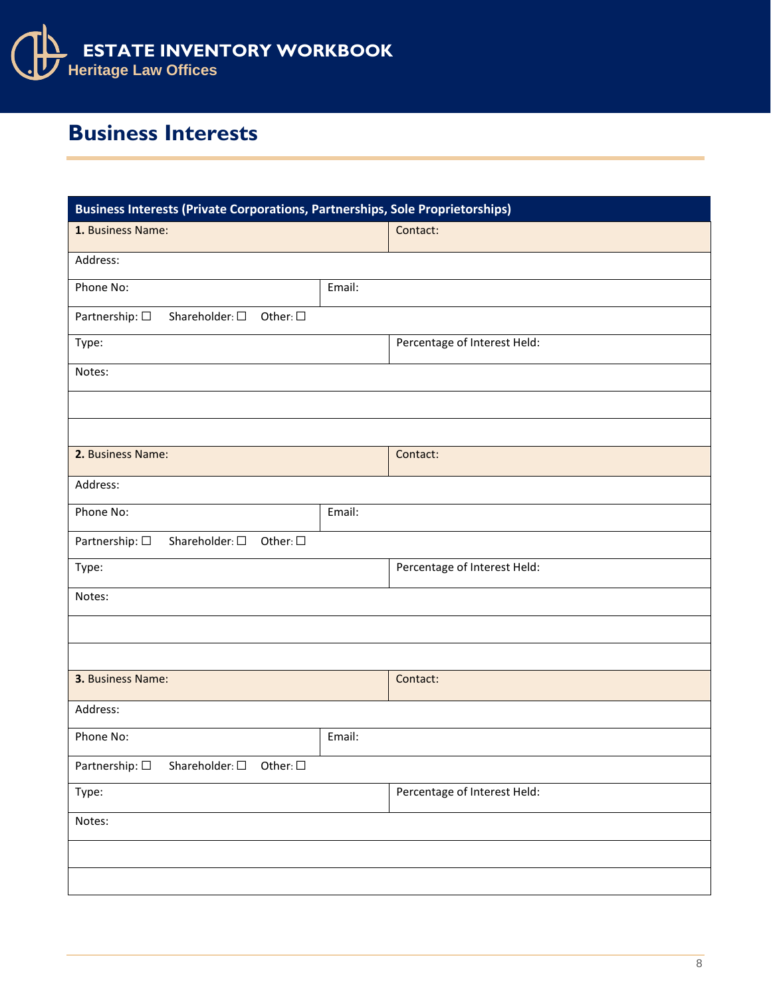

## **Business Interests**

| <b>Business Interests (Private Corporations, Partnerships, Sole Proprietorships)</b> |        |                              |  |
|--------------------------------------------------------------------------------------|--------|------------------------------|--|
| 1. Business Name:                                                                    |        | Contact:                     |  |
| Address:                                                                             |        |                              |  |
| Phone No:                                                                            | Email: |                              |  |
| Partnership: $\square$<br>Shareholder: $\square$<br>Other: $\square$                 |        |                              |  |
| Type:                                                                                |        | Percentage of Interest Held: |  |
| Notes:                                                                               |        |                              |  |
|                                                                                      |        |                              |  |
|                                                                                      |        |                              |  |
| 2. Business Name:                                                                    |        | Contact:                     |  |
| Address:                                                                             |        |                              |  |
| Phone No:                                                                            | Email: |                              |  |
| Partnership: $\square$<br>Shareholder: $\square$<br>Other: $\square$                 |        |                              |  |
| Type:                                                                                |        | Percentage of Interest Held: |  |
| Notes:                                                                               |        |                              |  |
|                                                                                      |        |                              |  |
|                                                                                      |        |                              |  |
| 3. Business Name:                                                                    |        | Contact:                     |  |
| Address:                                                                             |        |                              |  |
| Phone No:                                                                            | Email: |                              |  |
| Partnership: □<br>Shareholder: $\square$ Other: $\square$                            |        |                              |  |
| Type:                                                                                |        | Percentage of Interest Held: |  |
| Notes:                                                                               |        |                              |  |
|                                                                                      |        |                              |  |
|                                                                                      |        |                              |  |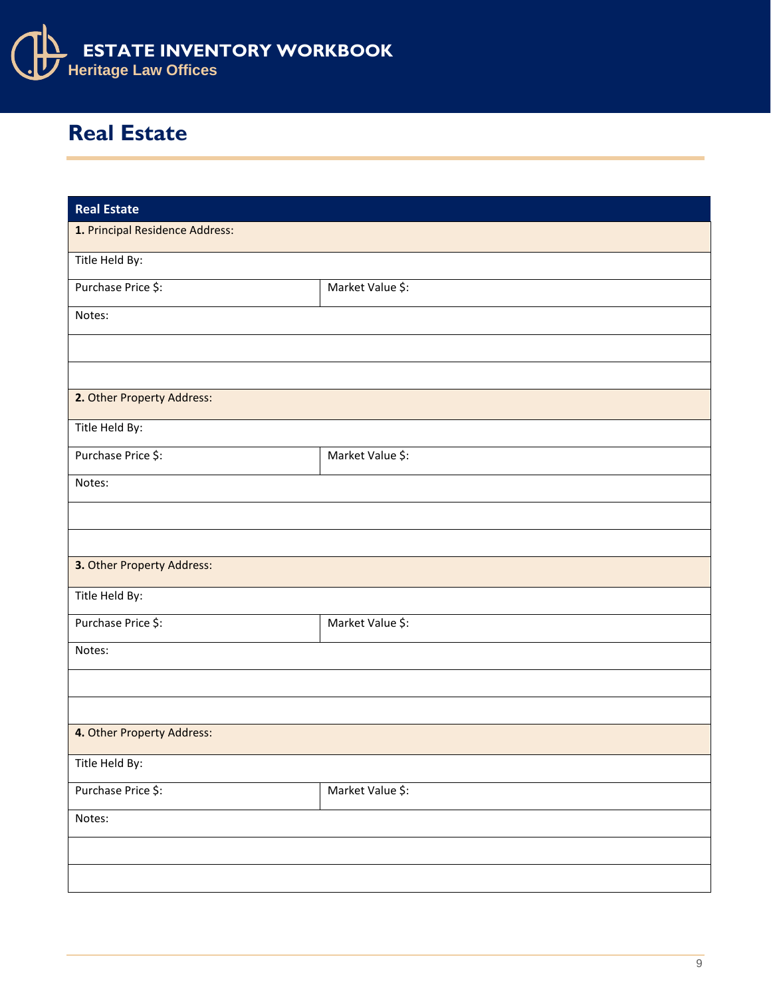

## **Real Estate**

| <b>Real Estate</b>              |                  |
|---------------------------------|------------------|
| 1. Principal Residence Address: |                  |
| Title Held By:                  |                  |
| Purchase Price \$:              | Market Value \$: |
| Notes:                          |                  |
|                                 |                  |
|                                 |                  |
| 2. Other Property Address:      |                  |
| Title Held By:                  |                  |
| Purchase Price \$:              | Market Value \$: |
| Notes:                          |                  |
|                                 |                  |
|                                 |                  |
| 3. Other Property Address:      |                  |
| Title Held By:                  |                  |
| Purchase Price \$:              | Market Value \$: |
| Notes:                          |                  |
|                                 |                  |
|                                 |                  |
| 4. Other Property Address:      |                  |
| Title Held By:                  |                  |
| Purchase Price \$:              | Market Value \$: |
| Notes:                          |                  |
|                                 |                  |
|                                 |                  |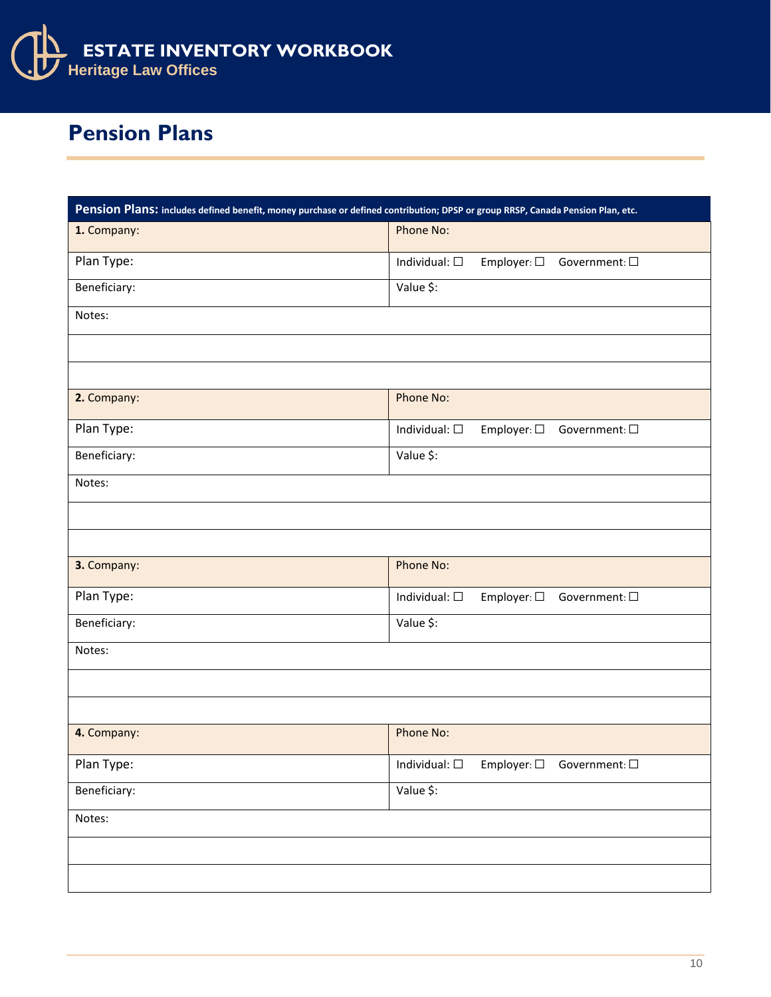

## **Pension Plans**

| Pension Plans: includes defined benefit, money purchase or defined contribution; DPSP or group RRSP, Canada Pension Plan, etc. |                                                                                            |
|--------------------------------------------------------------------------------------------------------------------------------|--------------------------------------------------------------------------------------------|
| 1. Company:                                                                                                                    | Phone No:                                                                                  |
| Plan Type:                                                                                                                     | Individual: $\square$<br>Employer: □ Government: □                                         |
| Beneficiary:                                                                                                                   | Value \$:                                                                                  |
| Notes:                                                                                                                         |                                                                                            |
|                                                                                                                                |                                                                                            |
|                                                                                                                                |                                                                                            |
| 2. Company:                                                                                                                    | Phone No:                                                                                  |
| Plan Type:                                                                                                                     | Individual: $\square$<br>Employer: $\square$ Government: $\square$                         |
| Beneficiary:                                                                                                                   | Value \$:                                                                                  |
| Notes:                                                                                                                         |                                                                                            |
|                                                                                                                                |                                                                                            |
|                                                                                                                                |                                                                                            |
| 3. Company:                                                                                                                    | Phone No:                                                                                  |
| Plan Type:                                                                                                                     | Employer: □ Government: □<br>Individual: $\square$                                         |
| Beneficiary:                                                                                                                   | Value \$:                                                                                  |
| Notes:                                                                                                                         |                                                                                            |
|                                                                                                                                |                                                                                            |
|                                                                                                                                |                                                                                            |
| 4. Company:                                                                                                                    | Phone No:                                                                                  |
| Plan Type:                                                                                                                     | $\small \textsf{Employee:}\,\Box\quad \textsf{Government:}\,\Box$<br>Individual: $\square$ |
| Beneficiary:                                                                                                                   | Value \$:                                                                                  |
| Notes:                                                                                                                         |                                                                                            |
|                                                                                                                                |                                                                                            |
|                                                                                                                                |                                                                                            |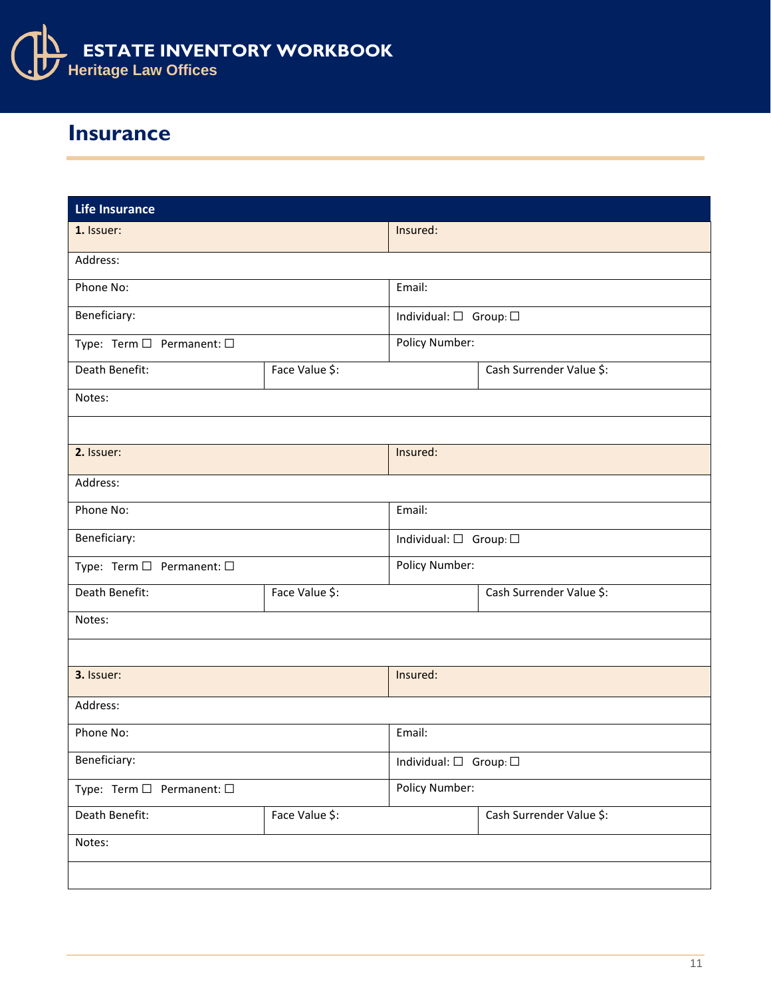

#### **Insurance**

| <b>Life Insurance</b>     |                |                                        |                          |
|---------------------------|----------------|----------------------------------------|--------------------------|
| 1. Issuer:                |                | Insured:                               |                          |
| Address:                  |                |                                        |                          |
| Phone No:                 |                | Email:                                 |                          |
| Beneficiary:              |                | Individual: $\square$ Group: $\square$ |                          |
| Type: Term □ Permanent: □ |                | Policy Number:                         |                          |
| Death Benefit:            | Face Value \$: |                                        | Cash Surrender Value \$: |
| Notes:                    |                |                                        |                          |
|                           |                |                                        |                          |
| 2. Issuer:                |                | Insured:                               |                          |
| Address:                  |                |                                        |                          |
| Phone No:                 |                | Email:                                 |                          |
| Beneficiary:              |                | Individual: $\square$ Group: $\square$ |                          |
| Type: Term □ Permanent: □ |                | Policy Number:                         |                          |
| Death Benefit:            | Face Value \$: |                                        | Cash Surrender Value \$: |
| Notes:                    |                |                                        |                          |
|                           |                |                                        |                          |
| 3. Issuer:                |                | Insured:                               |                          |
| Address:                  |                |                                        |                          |
| Phone No:                 |                | Email:                                 |                          |
| Beneficiary:              |                | Individual: $\square$ Group: $\square$ |                          |
| Type: Term □ Permanent: □ |                | Policy Number:                         |                          |
| Death Benefit:            | Face Value \$: |                                        | Cash Surrender Value \$: |
| Notes:                    |                |                                        |                          |
|                           |                |                                        |                          |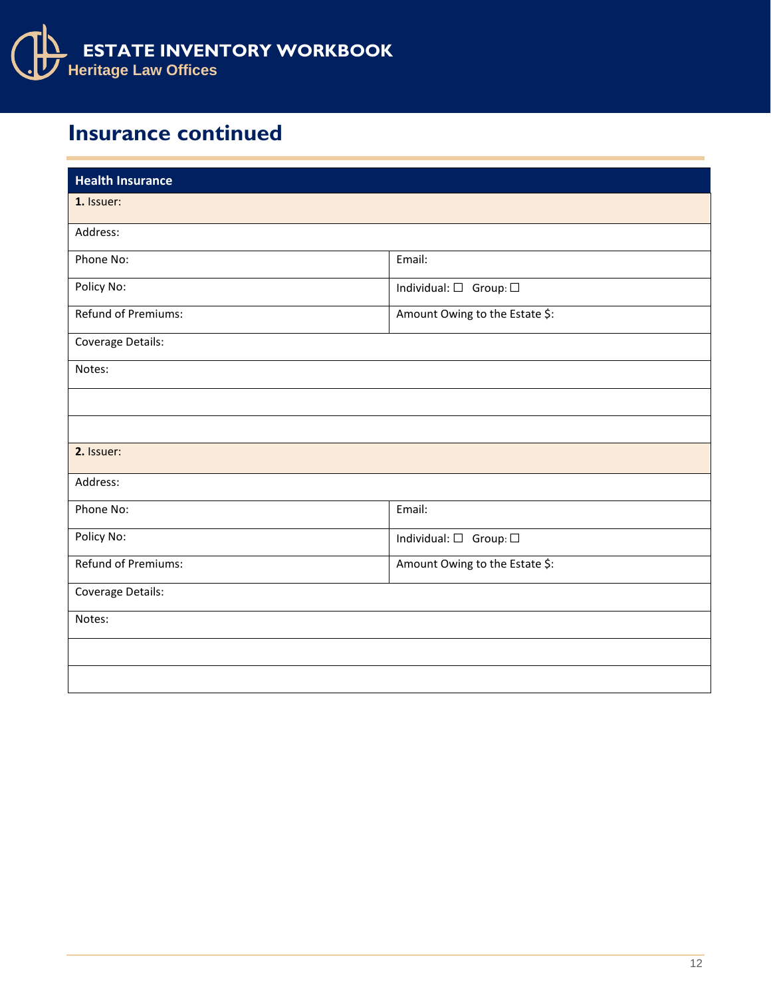

## **Insurance continued**

| <b>Health Insurance</b> |                                        |
|-------------------------|----------------------------------------|
| 1. Issuer:              |                                        |
| Address:                |                                        |
| Phone No:               | Email:                                 |
| Policy No:              | Individual: $\square$ Group: $\square$ |
| Refund of Premiums:     | Amount Owing to the Estate \$:         |
| Coverage Details:       |                                        |
| Notes:                  |                                        |
|                         |                                        |
|                         |                                        |
| 2. Issuer:              |                                        |
| Address:                |                                        |
| Phone No:               | Email:                                 |
| Policy No:              | Individual: $\square$ Group: $\square$ |
| Refund of Premiums:     | Amount Owing to the Estate \$:         |
| Coverage Details:       |                                        |
| Notes:                  |                                        |
|                         |                                        |
|                         |                                        |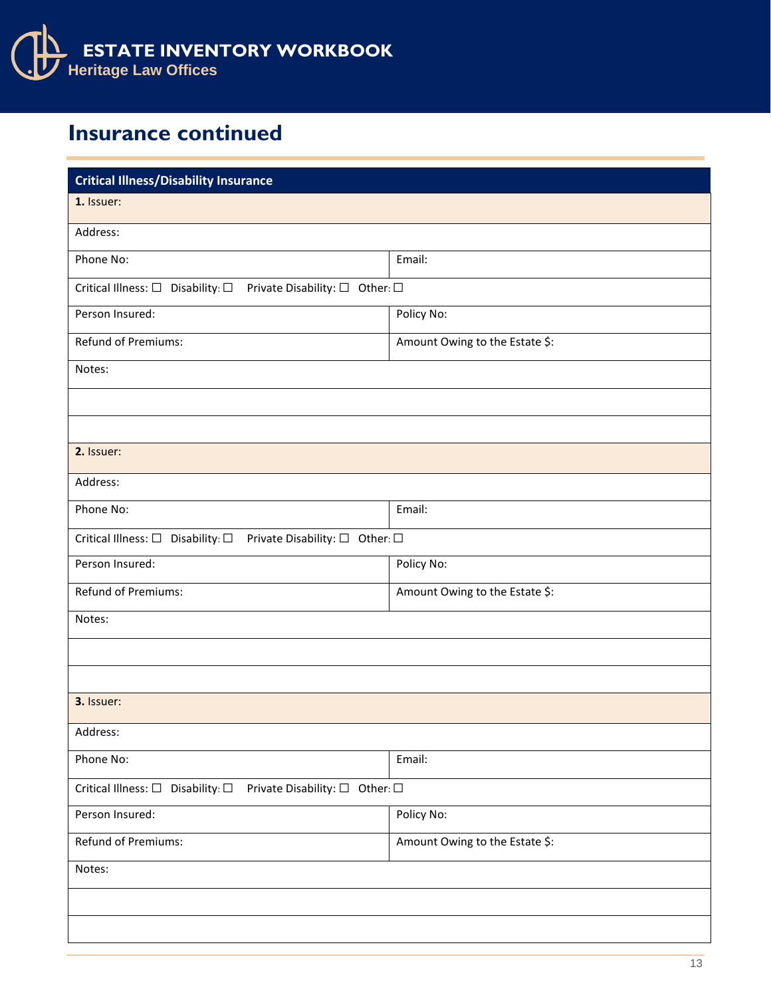

## **Insurance continued**

| <b>Critical Illness/Disability Insurance</b>                                                        |                                |  |  |
|-----------------------------------------------------------------------------------------------------|--------------------------------|--|--|
| 1. Issuer:                                                                                          |                                |  |  |
| Address:                                                                                            |                                |  |  |
| Phone No:                                                                                           | Email:                         |  |  |
| Critical Illness: $\Box$ Disability: $\Box$ Private Disability: $\Box$ Other: $\Box$                |                                |  |  |
| Person Insured:                                                                                     | Policy No:                     |  |  |
| <b>Refund of Premiums:</b>                                                                          | Amount Owing to the Estate \$: |  |  |
| Notes:                                                                                              |                                |  |  |
|                                                                                                     |                                |  |  |
|                                                                                                     |                                |  |  |
| 2. Issuer:                                                                                          |                                |  |  |
| Address:                                                                                            |                                |  |  |
| Phone No:                                                                                           | Email:                         |  |  |
| Critical Illness: □ Disability: □ Private Disability: □ Other: □                                    |                                |  |  |
| Person Insured:                                                                                     | Policy No:                     |  |  |
| Refund of Premiums:                                                                                 | Amount Owing to the Estate \$: |  |  |
| Notes:                                                                                              |                                |  |  |
|                                                                                                     |                                |  |  |
|                                                                                                     |                                |  |  |
| 3. Issuer:                                                                                          |                                |  |  |
| Address:                                                                                            |                                |  |  |
| Phone No:                                                                                           | Email:                         |  |  |
| Critical Illness: $\square$ Disability: $\square$<br>Private Disability: $\square$ Other: $\square$ |                                |  |  |
| Person Insured:                                                                                     | Policy No:                     |  |  |
| Refund of Premiums:                                                                                 | Amount Owing to the Estate \$: |  |  |
| Notes:                                                                                              |                                |  |  |
|                                                                                                     |                                |  |  |
|                                                                                                     |                                |  |  |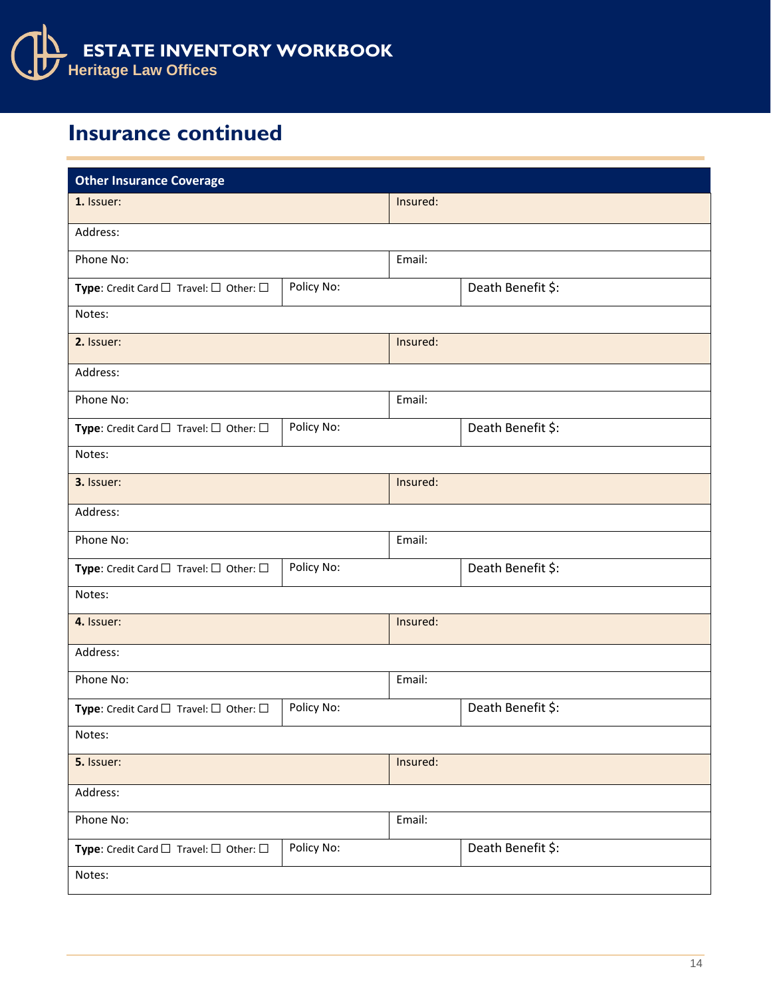

## **Insurance continued**

| <b>Other Insurance Coverage</b>                                |            |          |                   |  |
|----------------------------------------------------------------|------------|----------|-------------------|--|
| 1. Issuer:                                                     |            | Insured: |                   |  |
| Address:                                                       |            |          |                   |  |
| Phone No:                                                      |            |          |                   |  |
| Type: Credit Card $\square$ Travel: $\square$ Other: $\square$ | Policy No: |          | Death Benefit \$: |  |
| Notes:                                                         |            |          |                   |  |
| 2. Issuer:                                                     | Insured:   |          |                   |  |
| Address:                                                       |            |          |                   |  |
| Phone No:                                                      |            | Email:   |                   |  |
| Type: Credit Card $\square$ Travel: $\square$ Other: $\square$ | Policy No: |          | Death Benefit \$: |  |
| Notes:                                                         |            |          |                   |  |
| 3. Issuer:                                                     |            | Insured: |                   |  |
| Address:                                                       |            |          |                   |  |
| Phone No:                                                      |            | Email:   |                   |  |
| Type: Credit Card $\Box$ Travel: $\Box$ Other: $\Box$          | Policy No: |          | Death Benefit \$: |  |
| Notes:                                                         |            |          |                   |  |
| 4. Issuer:                                                     |            | Insured: |                   |  |
| Address:                                                       |            |          |                   |  |
| Phone No:                                                      |            | Email:   |                   |  |
| Type: Credit Card $\square$ Travel: $\square$ Other: $\square$ | Policy No: |          | Death Benefit \$: |  |
| Notes:                                                         |            |          |                   |  |
| 5. Issuer:                                                     |            | Insured: |                   |  |
| Address:                                                       |            |          |                   |  |
| Phone No:                                                      |            |          | Email:            |  |
| Type: Credit Card $\Box$ Travel: $\Box$ Other: $\Box$          | Policy No: |          | Death Benefit \$: |  |
| Notes:                                                         |            |          |                   |  |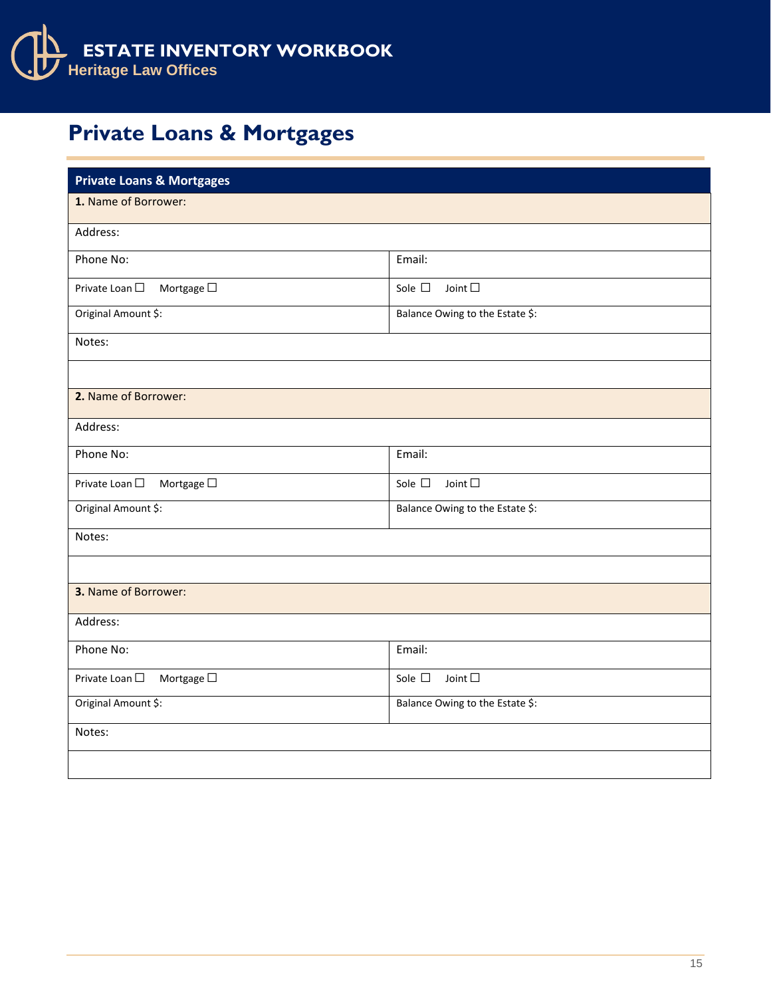

## **Private Loans & Mortgages**

| <b>Private Loans &amp; Mortgages</b> |                                   |  |  |  |
|--------------------------------------|-----------------------------------|--|--|--|
| 1. Name of Borrower:                 |                                   |  |  |  |
| Address:                             |                                   |  |  |  |
| Phone No:                            | Email:                            |  |  |  |
| Private Loan □<br>Mortgage $\square$ | Sole $\square$<br>Joint $\square$ |  |  |  |
| Original Amount \$:                  | Balance Owing to the Estate \$:   |  |  |  |
| Notes:                               |                                   |  |  |  |
|                                      |                                   |  |  |  |
| 2. Name of Borrower:                 |                                   |  |  |  |
| Address:                             |                                   |  |  |  |
| Phone No:                            | Email:                            |  |  |  |
| Mortgage $\square$<br>Private Loan □ | Joint $\square$<br>Sole $\square$ |  |  |  |
| Original Amount \$:                  | Balance Owing to the Estate \$:   |  |  |  |
| Notes:                               |                                   |  |  |  |
|                                      |                                   |  |  |  |
| 3. Name of Borrower:                 |                                   |  |  |  |
| Address:                             |                                   |  |  |  |
| Phone No:                            | Email:                            |  |  |  |
| Mortgage $\Box$<br>Private Loan □    | Sole $\square$<br>Joint $\square$ |  |  |  |
| Original Amount \$:                  | Balance Owing to the Estate \$:   |  |  |  |
| Notes:                               |                                   |  |  |  |
|                                      |                                   |  |  |  |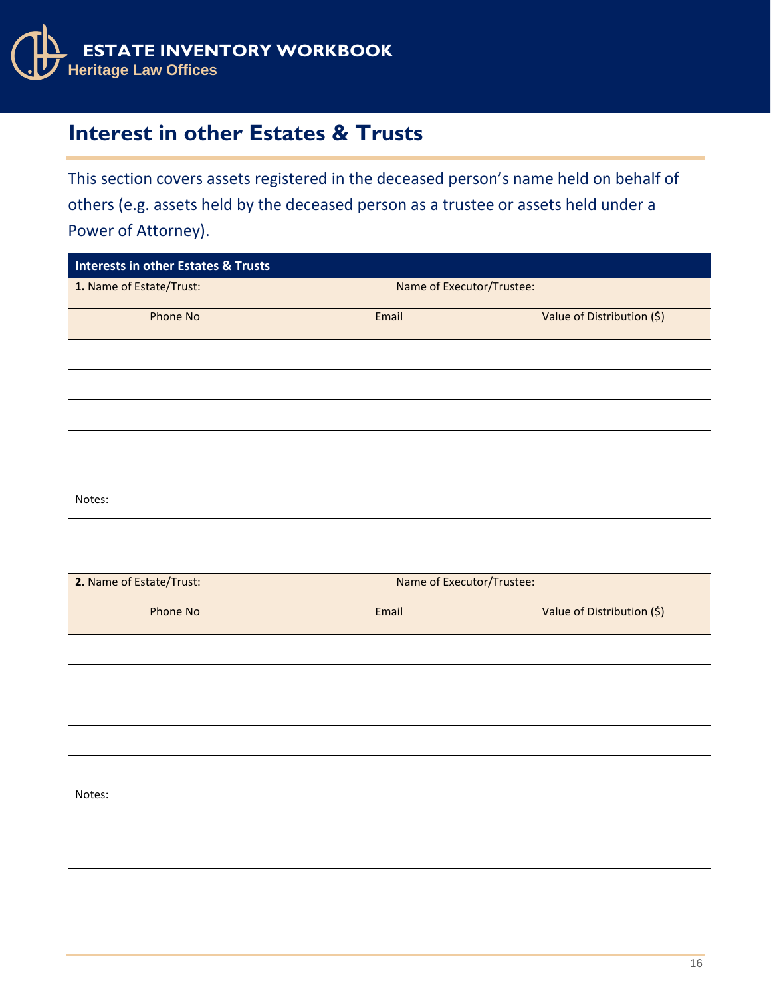

### **Interest in other Estates & Trusts**

This section covers assets registered in the deceased person's name held on behalf of others (e.g. assets held by the deceased person as a trustee or assets held under a Power of Attorney).

| <b>Interests in other Estates &amp; Trusts</b> |                           |                           |                            |  |
|------------------------------------------------|---------------------------|---------------------------|----------------------------|--|
| 1. Name of Estate/Trust:                       | Name of Executor/Trustee: |                           |                            |  |
| Phone No                                       | Email                     |                           | Value of Distribution (\$) |  |
|                                                |                           |                           |                            |  |
|                                                |                           |                           |                            |  |
|                                                |                           |                           |                            |  |
|                                                |                           |                           |                            |  |
|                                                |                           |                           |                            |  |
| Notes:                                         |                           |                           |                            |  |
|                                                |                           |                           |                            |  |
|                                                |                           |                           |                            |  |
| 2. Name of Estate/Trust:                       |                           | Name of Executor/Trustee: |                            |  |
| Phone No                                       | Email                     |                           | Value of Distribution (\$) |  |
|                                                |                           |                           |                            |  |
|                                                |                           |                           |                            |  |
|                                                |                           |                           |                            |  |
|                                                |                           |                           |                            |  |
|                                                |                           |                           |                            |  |
| Notes:                                         |                           |                           |                            |  |
|                                                |                           |                           |                            |  |
|                                                |                           |                           |                            |  |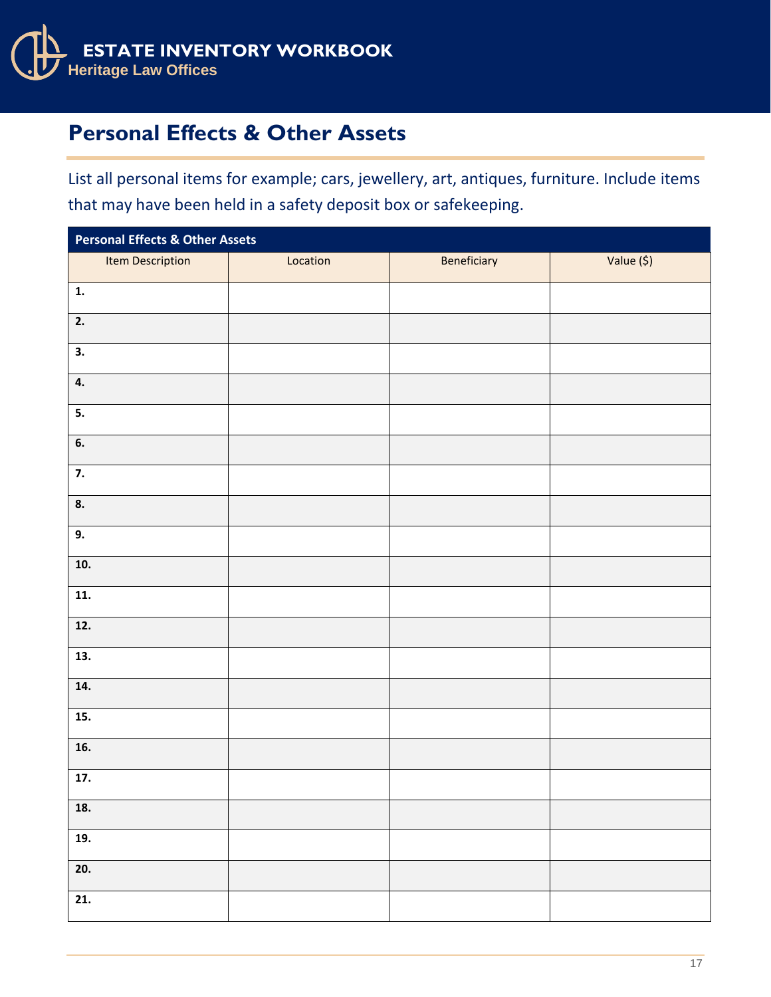

## **Personal Effects & Other Assets**

List all personal items for example; cars, jewellery, art, antiques, furniture. Include items that may have been held in a safety deposit box or safekeeping.

| <b>Personal Effects &amp; Other Assets</b> |          |             |            |  |  |  |
|--------------------------------------------|----------|-------------|------------|--|--|--|
| Item Description                           | Location | Beneficiary | Value (\$) |  |  |  |
| $\mathbf{1}$ .                             |          |             |            |  |  |  |
| 2.                                         |          |             |            |  |  |  |
| 3.                                         |          |             |            |  |  |  |
| 4.                                         |          |             |            |  |  |  |
| 5.                                         |          |             |            |  |  |  |
| 6.                                         |          |             |            |  |  |  |
| 7.                                         |          |             |            |  |  |  |
| 8.                                         |          |             |            |  |  |  |
| 9.                                         |          |             |            |  |  |  |
| 10.                                        |          |             |            |  |  |  |
| 11.                                        |          |             |            |  |  |  |
| 12.                                        |          |             |            |  |  |  |
| 13.                                        |          |             |            |  |  |  |
| 14.                                        |          |             |            |  |  |  |
| 15.                                        |          |             |            |  |  |  |
| 16.                                        |          |             |            |  |  |  |
| 17.                                        |          |             |            |  |  |  |
| 18.                                        |          |             |            |  |  |  |
| 19.                                        |          |             |            |  |  |  |
| 20.                                        |          |             |            |  |  |  |
| 21.                                        |          |             |            |  |  |  |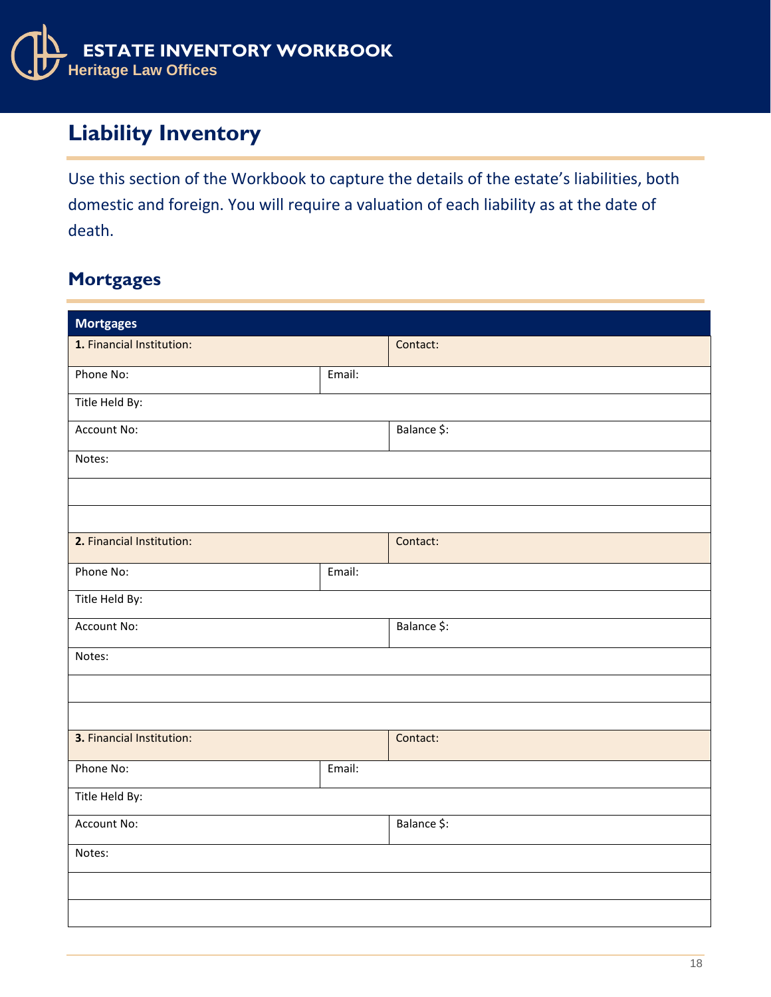

## **Liability Inventory**

Use this section of the Workbook to capture the details of the estate's liabilities, both domestic and foreign. You will require a valuation of each liability as at the date of death.

#### **Mortgages**

| <b>Mortgages</b>          |        |             |  |
|---------------------------|--------|-------------|--|
| 1. Financial Institution: |        | Contact:    |  |
| Phone No:                 | Email: |             |  |
| Title Held By:            |        |             |  |
| Account No:               |        | Balance \$: |  |
| Notes:                    |        |             |  |
|                           |        |             |  |
|                           |        |             |  |
| 2. Financial Institution: |        | Contact:    |  |
| Phone No:                 | Email: |             |  |
| Title Held By:            |        |             |  |
| Account No:               |        | Balance \$: |  |
| Notes:                    |        |             |  |
|                           |        |             |  |
|                           |        |             |  |
| 3. Financial Institution: |        | Contact:    |  |
| Phone No:                 | Email: |             |  |
| Title Held By:            |        |             |  |
| Account No:               |        | Balance \$: |  |
| Notes:                    |        |             |  |
|                           |        |             |  |
|                           |        |             |  |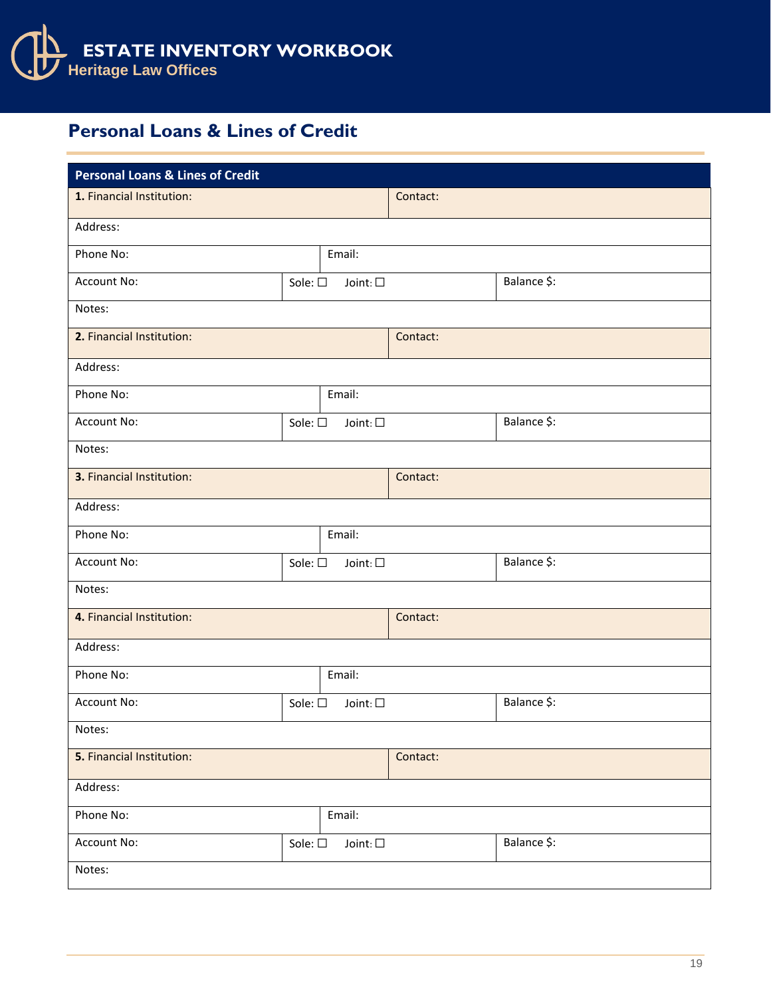

#### **Personal Loans & Lines of Credit**

| <b>Personal Loans &amp; Lines of Credit</b> |                 |                  |          |                          |
|---------------------------------------------|-----------------|------------------|----------|--------------------------|
| 1. Financial Institution:                   |                 |                  | Contact: |                          |
| Address:                                    |                 |                  |          |                          |
| Phone No:                                   |                 | Email:           |          |                          |
| Account No:                                 | Sole: $\square$ | Joint: $\square$ |          | Balance \$:              |
| Notes:                                      |                 |                  |          |                          |
| 2. Financial Institution:                   |                 |                  | Contact: |                          |
| Address:                                    |                 |                  |          |                          |
| Phone No:                                   |                 | Email:           |          |                          |
| <b>Account No:</b>                          | Sole: $\square$ | Joint: $\square$ |          | Balance \$:              |
| Notes:                                      |                 |                  |          |                          |
| 3. Financial Institution:                   |                 |                  | Contact: |                          |
| Address:                                    |                 |                  |          |                          |
| Phone No:                                   |                 | Email:           |          |                          |
| Account No:                                 | Sole: $\square$ | Joint: $\square$ |          | Balance \$:              |
| Notes:                                      |                 |                  |          |                          |
| 4. Financial Institution:                   |                 |                  | Contact: |                          |
| Address:                                    |                 |                  |          |                          |
| Phone No:                                   |                 | Email:           |          |                          |
| Account No:                                 | Sole: $\square$ | Joint: $\square$ |          | Balance \$:              |
| Notes:                                      |                 |                  |          |                          |
| 5. Financial Institution:                   |                 |                  | Contact: |                          |
| Address:                                    |                 |                  |          |                          |
| Phone No:                                   |                 | Email:           |          |                          |
| Account No:                                 | Sole: $\square$ | Joint: $\Box$    |          | Balance $\overline{\$:}$ |
| Notes:                                      |                 |                  |          |                          |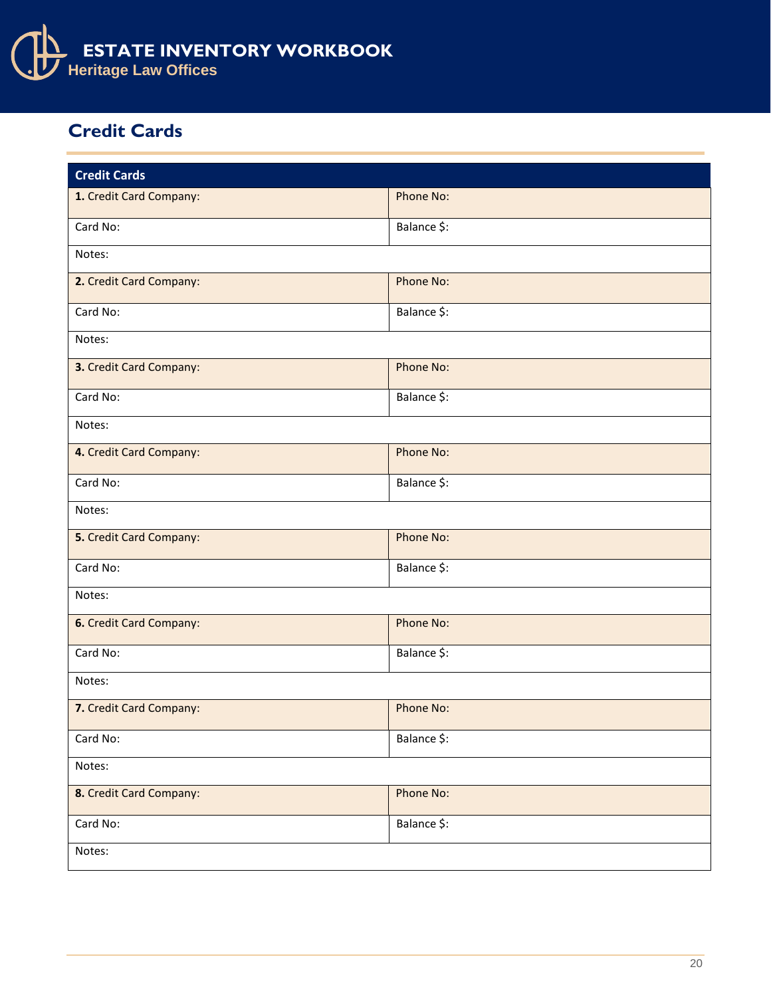

#### **Credit Cards**

| <b>Credit Cards</b>     |             |  |  |  |
|-------------------------|-------------|--|--|--|
|                         | Phone No:   |  |  |  |
| 1. Credit Card Company: |             |  |  |  |
| Card No:                | Balance \$: |  |  |  |
| Notes:                  |             |  |  |  |
| 2. Credit Card Company: | Phone No:   |  |  |  |
| Card No:                | Balance \$: |  |  |  |
| Notes:                  |             |  |  |  |
| 3. Credit Card Company: | Phone No:   |  |  |  |
| Card No:                | Balance \$: |  |  |  |
| Notes:                  |             |  |  |  |
| 4. Credit Card Company: | Phone No:   |  |  |  |
| Card No:                | Balance \$: |  |  |  |
| Notes:                  |             |  |  |  |
| 5. Credit Card Company: | Phone No:   |  |  |  |
| Card No:                | Balance \$: |  |  |  |
| Notes:                  |             |  |  |  |
| 6. Credit Card Company: | Phone No:   |  |  |  |
| Card No:                | Balance \$: |  |  |  |
| Notes:                  |             |  |  |  |
| 7. Credit Card Company: | Phone No:   |  |  |  |
| Card No:                | Balance \$: |  |  |  |
| Notes:                  |             |  |  |  |
| 8. Credit Card Company: | Phone No:   |  |  |  |
| Card No:                | Balance \$: |  |  |  |
| Notes:                  |             |  |  |  |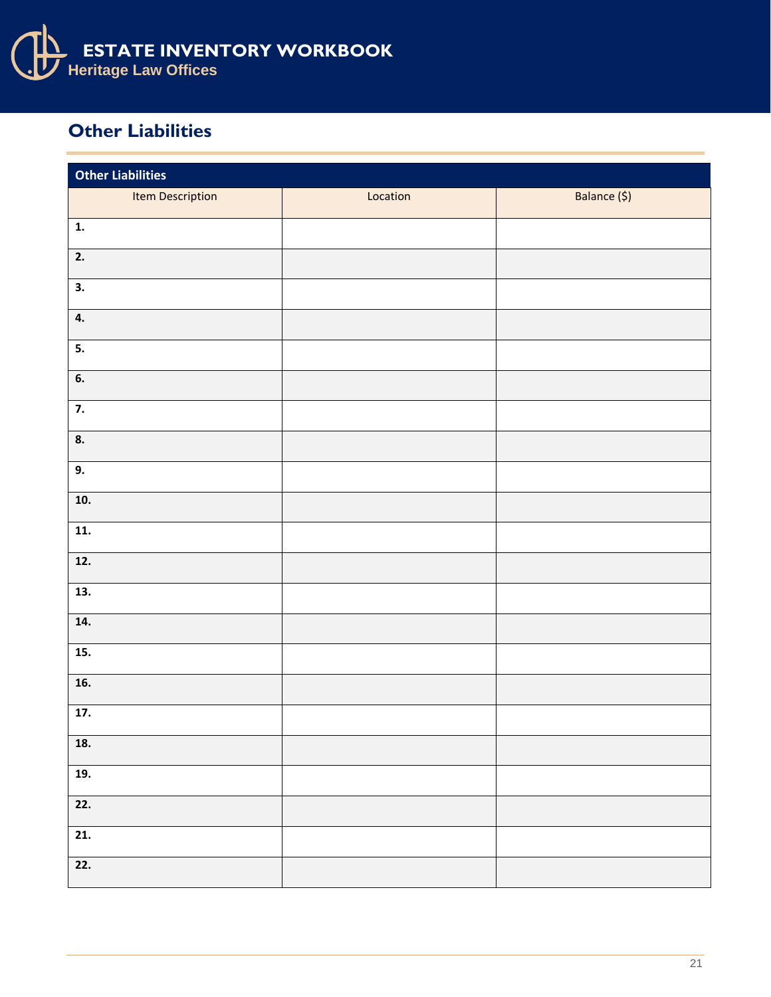

#### **Other Liabilities**

| <b>Other Liabilities</b> |          |              |  |  |  |
|--------------------------|----------|--------------|--|--|--|
| Item Description         | Location | Balance (\$) |  |  |  |
| $\mathbf{1}$ .           |          |              |  |  |  |
| 2.                       |          |              |  |  |  |
| 3.                       |          |              |  |  |  |
| 4.                       |          |              |  |  |  |
| 5.                       |          |              |  |  |  |
| 6.                       |          |              |  |  |  |
| $\overline{7}$ .         |          |              |  |  |  |
| 8.                       |          |              |  |  |  |
| 9.                       |          |              |  |  |  |
| 10.                      |          |              |  |  |  |
| 11.                      |          |              |  |  |  |
| 12.                      |          |              |  |  |  |
| 13.                      |          |              |  |  |  |
| 14.                      |          |              |  |  |  |
| 15.                      |          |              |  |  |  |
| 16.                      |          |              |  |  |  |
| 17.                      |          |              |  |  |  |
| 18.                      |          |              |  |  |  |
| 19.                      |          |              |  |  |  |
| $\overline{22.}$         |          |              |  |  |  |
| $\overline{21}$ .        |          |              |  |  |  |
| 22.                      |          |              |  |  |  |